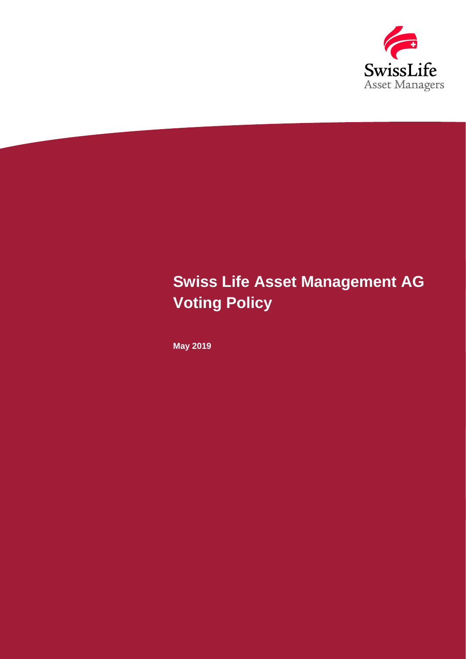

# **Swiss Life Asset Management AG Voting Policy**

**May 2019**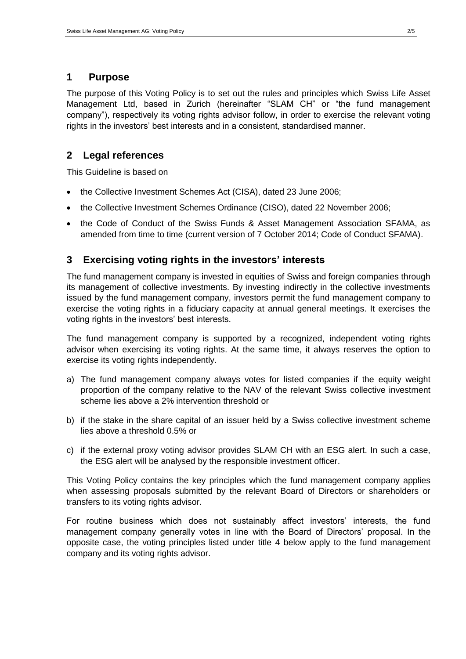## **1 Purpose**

The purpose of this Voting Policy is to set out the rules and principles which Swiss Life Asset Management Ltd, based in Zurich (hereinafter "SLAM CH" or "the fund management company"), respectively its voting rights advisor follow, in order to exercise the relevant voting rights in the investors' best interests and in a consistent, standardised manner.

## **2 Legal references**

This Guideline is based on

- the Collective Investment Schemes Act (CISA), dated 23 June 2006;
- the Collective Investment Schemes Ordinance (CISO), dated 22 November 2006;
- the Code of Conduct of the Swiss Funds & Asset Management Association SFAMA, as amended from time to time (current version of 7 October 2014; Code of Conduct SFAMA).

## **3 Exercising voting rights in the investors' interests**

The fund management company is invested in equities of Swiss and foreign companies through its management of collective investments. By investing indirectly in the collective investments issued by the fund management company, investors permit the fund management company to exercise the voting rights in a fiduciary capacity at annual general meetings. It exercises the voting rights in the investors' best interests.

The fund management company is supported by a recognized, independent voting rights advisor when exercising its voting rights. At the same time, it always reserves the option to exercise its voting rights independently.

- a) The fund management company always votes for listed companies if the equity weight proportion of the company relative to the NAV of the relevant Swiss collective investment scheme lies above a 2% intervention threshold or
- b) if the stake in the share capital of an issuer held by a Swiss collective investment scheme lies above a threshold 0.5% or
- c) if the external proxy voting advisor provides SLAM CH with an ESG alert. In such a case, the ESG alert will be analysed by the responsible investment officer.

This Voting Policy contains the key principles which the fund management company applies when assessing proposals submitted by the relevant Board of Directors or shareholders or transfers to its voting rights advisor.

For routine business which does not sustainably affect investors' interests, the fund management company generally votes in line with the Board of Directors' proposal. In the opposite case, the voting principles listed under title 4 below apply to the fund management company and its voting rights advisor.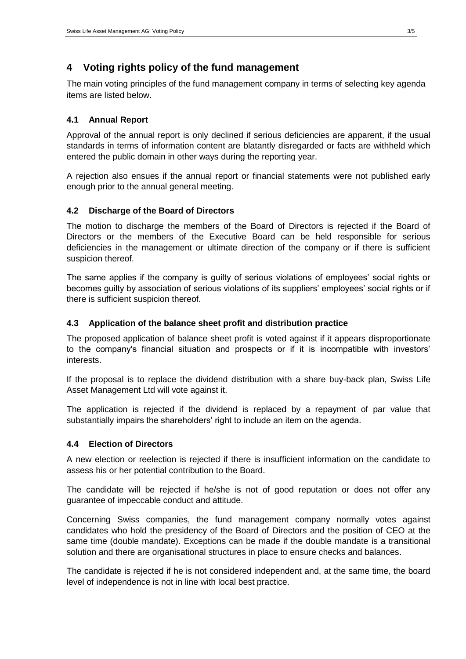## **4 Voting rights policy of the fund management**

The main voting principles of the fund management company in terms of selecting key agenda items are listed below.

### **4.1 Annual Report**

Approval of the annual report is only declined if serious deficiencies are apparent, if the usual standards in terms of information content are blatantly disregarded or facts are withheld which entered the public domain in other ways during the reporting year.

A rejection also ensues if the annual report or financial statements were not published early enough prior to the annual general meeting.

### **4.2 Discharge of the Board of Directors**

The motion to discharge the members of the Board of Directors is rejected if the Board of Directors or the members of the Executive Board can be held responsible for serious deficiencies in the management or ultimate direction of the company or if there is sufficient suspicion thereof.

The same applies if the company is guilty of serious violations of employees' social rights or becomes guilty by association of serious violations of its suppliers' employees' social rights or if there is sufficient suspicion thereof.

#### **4.3 Application of the balance sheet profit and distribution practice**

The proposed application of balance sheet profit is voted against if it appears disproportionate to the company's financial situation and prospects or if it is incompatible with investors' interests.

If the proposal is to replace the dividend distribution with a share buy-back plan, Swiss Life Asset Management Ltd will vote against it.

The application is rejected if the dividend is replaced by a repayment of par value that substantially impairs the shareholders' right to include an item on the agenda.

#### **4.4 Election of Directors**

A new election or reelection is rejected if there is insufficient information on the candidate to assess his or her potential contribution to the Board.

The candidate will be rejected if he/she is not of good reputation or does not offer any guarantee of impeccable conduct and attitude.

Concerning Swiss companies, the fund management company normally votes against candidates who hold the presidency of the Board of Directors and the position of CEO at the same time (double mandate). Exceptions can be made if the double mandate is a transitional solution and there are organisational structures in place to ensure checks and balances.

The candidate is rejected if he is not considered independent and, at the same time, the board level of independence is not in line with local best practice.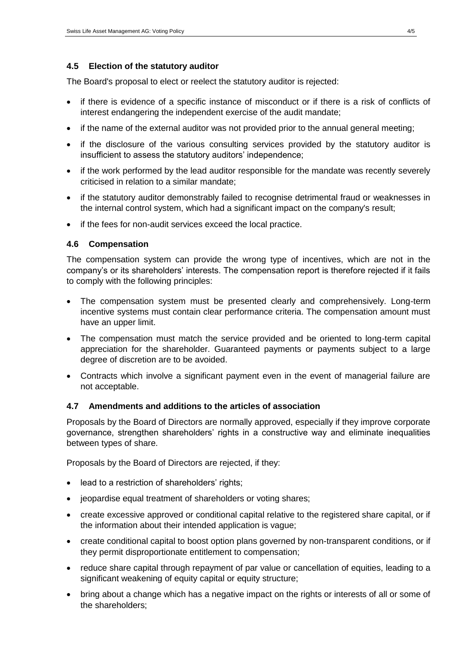#### **4.5 Election of the statutory auditor**

The Board's proposal to elect or reelect the statutory auditor is rejected:

- if there is evidence of a specific instance of misconduct or if there is a risk of conflicts of interest endangering the independent exercise of the audit mandate;
- if the name of the external auditor was not provided prior to the annual general meeting;
- if the disclosure of the various consulting services provided by the statutory auditor is insufficient to assess the statutory auditors' independence;
- if the work performed by the lead auditor responsible for the mandate was recently severely criticised in relation to a similar mandate;
- if the statutory auditor demonstrably failed to recognise detrimental fraud or weaknesses in the internal control system, which had a significant impact on the company's result;
- if the fees for non-audit services exceed the local practice.

#### **4.6 Compensation**

The compensation system can provide the wrong type of incentives, which are not in the company's or its shareholders' interests. The compensation report is therefore rejected if it fails to comply with the following principles:

- The compensation system must be presented clearly and comprehensively. Long-term incentive systems must contain clear performance criteria. The compensation amount must have an upper limit.
- The compensation must match the service provided and be oriented to long-term capital appreciation for the shareholder. Guaranteed payments or payments subject to a large degree of discretion are to be avoided.
- Contracts which involve a significant payment even in the event of managerial failure are not acceptable.

#### **4.7 Amendments and additions to the articles of association**

Proposals by the Board of Directors are normally approved, especially if they improve corporate governance, strengthen shareholders' rights in a constructive way and eliminate inequalities between types of share.

Proposals by the Board of Directors are rejected, if they:

- lead to a restriction of shareholders' rights;
- jeopardise equal treatment of shareholders or voting shares;
- create excessive approved or conditional capital relative to the registered share capital, or if the information about their intended application is vague;
- create conditional capital to boost option plans governed by non-transparent conditions, or if they permit disproportionate entitlement to compensation;
- reduce share capital through repayment of par value or cancellation of equities, leading to a significant weakening of equity capital or equity structure;
- bring about a change which has a negative impact on the rights or interests of all or some of the shareholders;